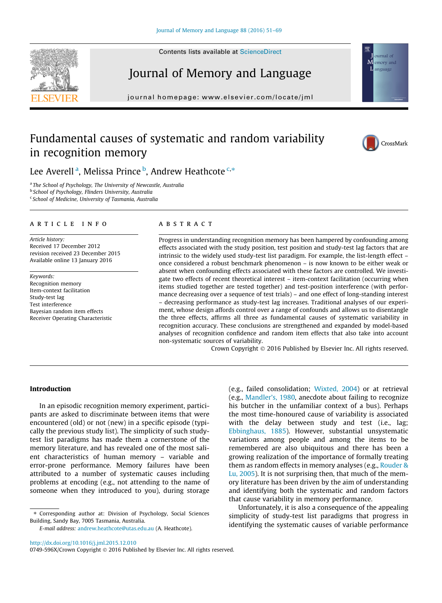



journal homepage: www.el [sevier.com/locate/jml](http://www.elsevier.com/locate/jml)



## Fundamental causes of systematic and random variability in recognition memory



Lee Averell <sup>a</sup>, Melissa Prince <sup>b</sup>, Andrew Heathcote <sup>c,\*</sup>

<sup>a</sup> The School of Psychology, The University of Newcastle, Australia

**b School of Psychology, Flinders University, Australia** 

<sup>c</sup> School of Medicine, University of Tasmania, Australia

### article info

Article history: Received 17 December 2012 revision received 23 December 2015 Available online 13 January 2016

Keywords: Recognition memory Item-context facilitation Study-test lag Test interference Bayesian random item effects Receiver Operating Characteristic

#### **ABSTRACT**

Progress in understanding recognition memory has been hampered by confounding among effects associated with the study position, test position and study-test lag factors that are intrinsic to the widely used study-test list paradigm. For example, the list-length effect – once considered a robust benchmark phenomenon – is now known to be either weak or absent when confounding effects associated with these factors are controlled. We investigate two effects of recent theoretical interest – item-context facilitation (occurring when items studied together are tested together) and test-position interference (with performance decreasing over a sequence of test trials) – and one effect of long-standing interest – decreasing performance as study-test lag increases. Traditional analyses of our experiment, whose design affords control over a range of confounds and allows us to disentangle the three effects, affirms all three as fundamental causes of systematic variability in recognition accuracy. These conclusions are strengthened and expanded by model-based analyses of recognition confidence and random item effects that also take into account non-systematic sources of variability.

Crown Copyright © 2016 Published by Elsevier Inc. All rights reserved.

#### Introduction

In an episodic recognition memory experiment, participants are asked to discriminate between items that were encountered (old) or not (new) in a specific episode (typically the previous study list). The simplicity of such studytest list paradigms has made them a cornerstone of the memory literature, and has revealed one of the most salient characteristics of human memory – variable and error-prone performance. Memory failures have been attributed to a number of systematic causes including problems at encoding (e.g., not attending to the name of someone when they introduced to you), during storage

⇑ Corresponding author at: Division of Psychology, Social Sciences Building, Sandy Bay, 7005 Tasmania, Australia.

E-mail address: [andrew.heathcote@utas.edu.au](mailto:andrew.heathcote@utas.edu.au) (A. Heathcote).

(e.g., failed consolidation; Wixted, 2004) or at retrieval (e.g., Mandler's, 1980, anecdote about failing to recognize his butcher in the unfamiliar context of a bus). Perhaps the most time-honoured cause of variability is associated with the delay between study and test (i.e., lag; Ebbinghaus, 1885). However, substantial unsystematic variations among people and among the items to be remembered are also ubiquitous and there has been a growing realization of the importance of formally treating them as random effects in memory analyses (e.g., Rouder & Lu, 2005). It is not surprising then, that much of the memory literature has been driven by the aim of understanding and identifying both the systematic and random factors that cause variability in memory performance.

Unfortunately, it is also a consequence of the appealing simplicity of study-test list paradigms that progress in identifying the systematic causes of variable performance

<http://dx.doi.org/10.1016/j.jml.2015.12.010>

0749-596X/Crown Copyright © 2016 Published by Elsevier Inc. All rights reserved.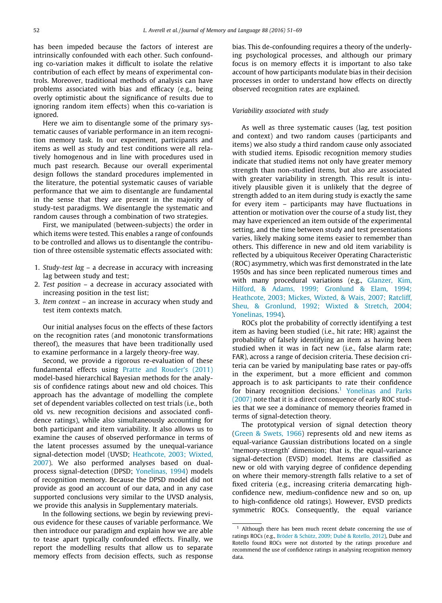has been impeded because the factors of interest are intrinsically confounded with each other. Such confounding co-variation makes it difficult to isolate the relative contribution of each effect by means of experimental controls. Moreover, traditional methods of analysis can have problems associated with bias and efficacy (e.g., being overly optimistic about the significance of results due to ignoring random item effects) when this co-variation is ignored.

Here we aim to disentangle some of the primary systematic causes of variable performance in an item recognition memory task. In our experiment, participants and items as well as study and test conditions were all relatively homogenous and in line with procedures used in much past research. Because our overall experimental design follows the standard procedures implemented in the literature, the potential systematic causes of variable performance that we aim to disentangle are fundamental in the sense that they are present in the majority of study-test paradigms. We disentangle the systematic and random causes through a combination of two strategies.

First, we manipulated (between-subjects) the order in which items were tested. This enables a range of confounds to be controlled and allows us to disentangle the contribution of three ostensible systematic effects associated with:

- 1. Study-test lag a decrease in accuracy with increasing lag between study and test;
- 2. Test position a decrease in accuracy associated with increasing position in the test list;
- 3. Item context an increase in accuracy when study and test item contexts match.

Our initial analyses focus on the effects of these factors on the recognition rates (and monotonic transformations thereof), the measures that have been traditionally used to examine performance in a largely theory-free way.

Second, we provide a rigorous re-evaluation of these fundamental effects using Pratte and Rouder's (2011) model-based hierarchical Bayesian methods for the analysis of confidence ratings about new and old choices. This approach has the advantage of modelling the complete set of dependent variables collected on test trials (i.e., both old vs. new recognition decisions and associated confidence ratings), while also simultaneously accounting for both participant and item variability. It also allows us to examine the causes of observed performance in terms of the latent processes assumed by the unequal-variance signal-detection model (UVSD; Heathcote, 2003; Wixted, 2007). We also performed analyses based on dualprocess signal-detection (DPSD; Yonelinas, 1994) models of recognition memory. Because the DPSD model did not provide as good an account of our data, and in any case supported conclusions very similar to the UVSD analysis, we provide this analysis in Supplementary materials.

In the following sections, we begin by reviewing previous evidence for these causes of variable performance. We then introduce our paradigm and explain how we are able to tease apart typically confounded effects. Finally, we report the modelling results that allow us to separate memory effects from decision effects, such as response bias. This de-confounding requires a theory of the underlying psychological processes, and although our primary focus is on memory effects it is important to also take account of how participants modulate bias in their decision processes in order to understand how effects on directly observed recognition rates are explained.

#### Variability associated with study

As well as three systematic causes (lag, test position and context) and two random causes (participants and items) we also study a third random cause only associated with studied items. Episodic recognition memory studies indicate that studied items not only have greater memory strength than non-studied items, but also are associated with greater variability in strength. This result is intuitively plausible given it is unlikely that the degree of strength added to an item during study is exactly the same for every item – participants may have fluctuations in attention or motivation over the course of a study list, they may have experienced an item outside of the experimental setting, and the time between study and test presentations varies, likely making some items easier to remember than others. This difference in new and old item variability is reflected by a ubiquitous Receiver Operating Characteristic (ROC) asymmetry, which was first demonstrated in the late 1950s and has since been replicated numerous times and with many procedural variations (e.g., Glanzer, Kim, Hilford, & Adams, 1999; Gronlund & Elam, 1994; Heathcote, 2003; Mickes, Wixted, & Wais, 2007; Ratcliff, Sheu, & Gronlund, 1992; Wixted & Stretch, 2004; Yonelinas, 1994).

ROCs plot the probability of correctly identifying a test item as having been studied (i.e., hit rate; HR) against the probability of falsely identifying an item as having been studied when it was in fact new (i.e., false alarm rate; FAR), across a range of decision criteria. These decision criteria can be varied by manipulating base rates or pay-offs in the experiment, but a more efficient and common approach is to ask participants to rate their confidence for binary recognition decisions.<sup>1</sup> Yonelinas and Parks (2007) note that it is a direct consequence of early ROC studies that we see a dominance of memory theories framed in terms of signal-detection theory.

The prototypical version of signal detection theory (Green & Swets, 1966) represents old and new items as equal-variance Gaussian distributions located on a single 'memory-strength' dimension; that is, the equal-variance signal-detection (EVSD) model. Items are classified as new or old with varying degree of confidence depending on where their memory-strength falls relative to a set of fixed criteria (e.g., increasing criteria demarcating highconfidence new, medium-confidence new and so on, up to high-confidence old ratings). However, EVSD predicts symmetric ROCs. Consequently, the equal variance

<sup>&</sup>lt;sup>1</sup> Although there has been much recent debate concerning the use of ratings ROCs (e.g., Bröder & Schütz, 2009; Dubé & Rotello, 2012), Dube and Rotello found ROCs were not distorted by the ratings procedure and recommend the use of confidence ratings in analysing recognition memory data.